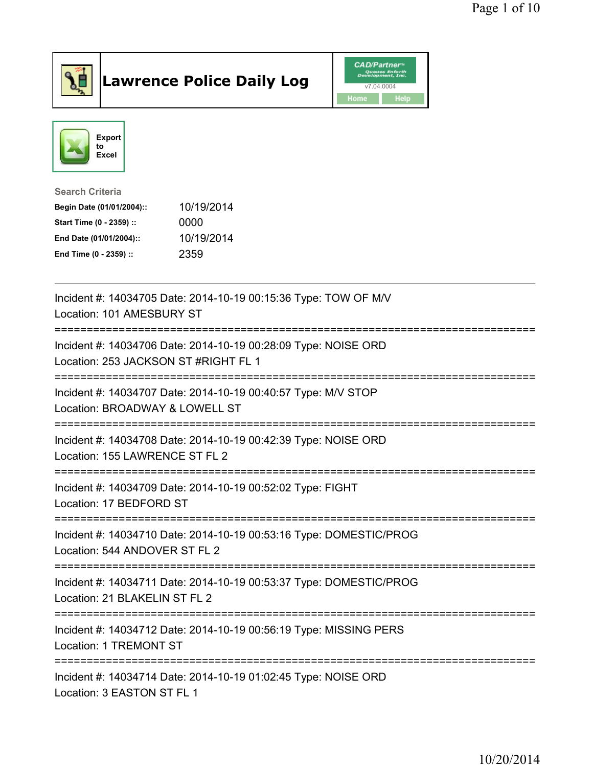

## Lawrence Police Daily Log **Daniel CAD/Partner**





Search Criteria Begin Date (01/01/2004):: 10/19/2014 Start Time (0 - 2359) :: 0000 End Date (01/01/2004):: 10/19/2014 End Time (0 - 2359) :: 2359

| Incident #: 14034705 Date: 2014-10-19 00:15:36 Type: TOW OF M/V<br>Location: 101 AMESBURY ST                                         |
|--------------------------------------------------------------------------------------------------------------------------------------|
| Incident #: 14034706 Date: 2014-10-19 00:28:09 Type: NOISE ORD<br>Location: 253 JACKSON ST #RIGHT FL 1<br>-------------------------- |
| Incident #: 14034707 Date: 2014-10-19 00:40:57 Type: M/V STOP<br>Location: BROADWAY & LOWELL ST                                      |
| Incident #: 14034708 Date: 2014-10-19 00:42:39 Type: NOISE ORD<br>Location: 155 LAWRENCE ST FL 2                                     |
| Incident #: 14034709 Date: 2014-10-19 00:52:02 Type: FIGHT<br>Location: 17 BEDFORD ST                                                |
| Incident #: 14034710 Date: 2014-10-19 00:53:16 Type: DOMESTIC/PROG<br>Location: 544 ANDOVER ST FL 2                                  |
| Incident #: 14034711 Date: 2014-10-19 00:53:37 Type: DOMESTIC/PROG<br>Location: 21 BLAKELIN ST FL 2                                  |
| Incident #: 14034712 Date: 2014-10-19 00:56:19 Type: MISSING PERS<br>Location: 1 TREMONT ST                                          |
| Incident #: 14034714 Date: 2014-10-19 01:02:45 Type: NOISE ORD<br>Location: 3 EASTON ST FL 1                                         |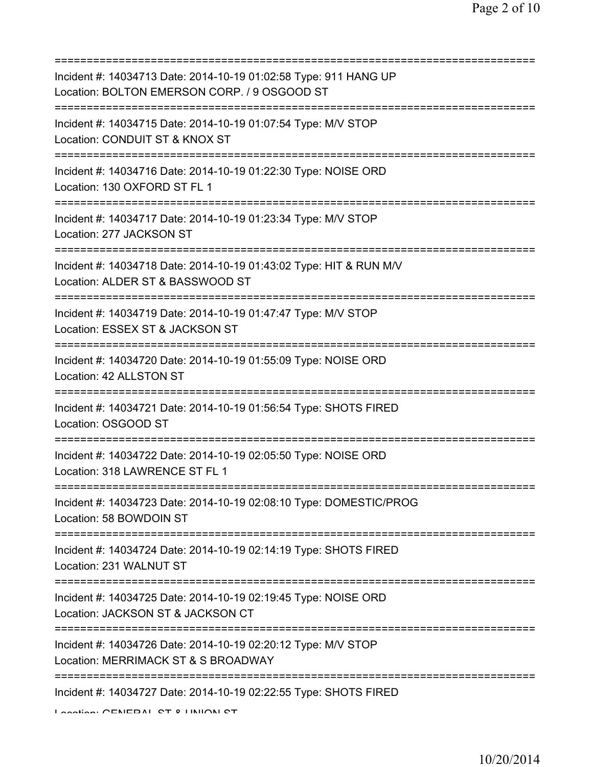| Incident #: 14034713 Date: 2014-10-19 01:02:58 Type: 911 HANG UP<br>Location: BOLTON EMERSON CORP. / 9 OSGOOD ST                              |
|-----------------------------------------------------------------------------------------------------------------------------------------------|
| Incident #: 14034715 Date: 2014-10-19 01:07:54 Type: M/V STOP<br>Location: CONDUIT ST & KNOX ST                                               |
| Incident #: 14034716 Date: 2014-10-19 01:22:30 Type: NOISE ORD<br>Location: 130 OXFORD ST FL 1                                                |
| Incident #: 14034717 Date: 2014-10-19 01:23:34 Type: M/V STOP<br>Location: 277 JACKSON ST                                                     |
| Incident #: 14034718 Date: 2014-10-19 01:43:02 Type: HIT & RUN M/V<br>Location: ALDER ST & BASSWOOD ST                                        |
| Incident #: 14034719 Date: 2014-10-19 01:47:47 Type: M/V STOP<br>Location: ESSEX ST & JACKSON ST                                              |
| Incident #: 14034720 Date: 2014-10-19 01:55:09 Type: NOISE ORD<br>Location: 42 ALLSTON ST                                                     |
| Incident #: 14034721 Date: 2014-10-19 01:56:54 Type: SHOTS FIRED<br>Location: OSGOOD ST                                                       |
| Incident #: 14034722 Date: 2014-10-19 02:05:50 Type: NOISE ORD<br>Location: 318 LAWRENCE ST FL 1                                              |
| Incident #: 14034723 Date: 2014-10-19 02:08:10 Type: DOMESTIC/PROG<br>Location: 58 BOWDOIN ST                                                 |
| Incident #: 14034724 Date: 2014-10-19 02:14:19 Type: SHOTS FIRED<br>Location: 231 WALNUT ST                                                   |
| Incident #: 14034725 Date: 2014-10-19 02:19:45 Type: NOISE ORD<br>Location: JACKSON ST & JACKSON CT                                           |
| Incident #: 14034726 Date: 2014-10-19 02:20:12 Type: M/V STOP<br>Location: MERRIMACK ST & S BROADWAY                                          |
| ;===================================<br>Incident #: 14034727 Date: 2014-10-19 02:22:55 Type: SHOTS FIRED<br>Location: CENEDAL CT 0 LINIION CT |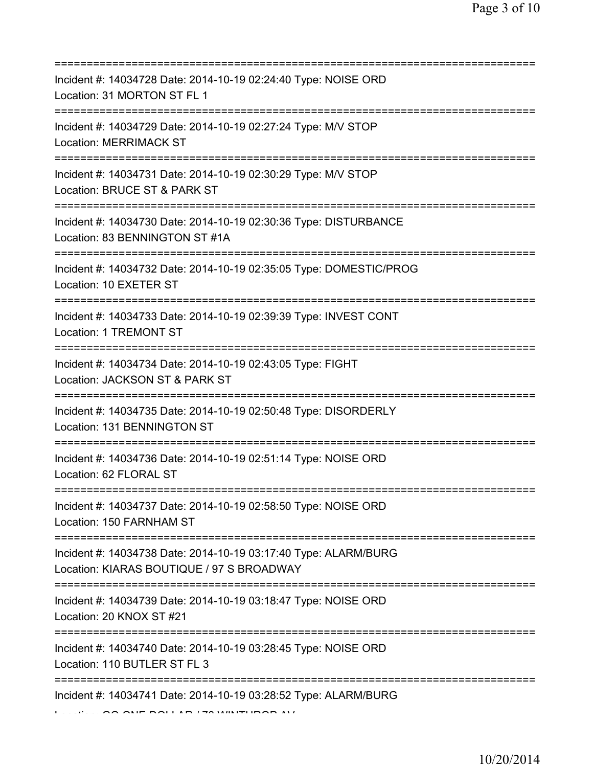| Incident #: 14034728 Date: 2014-10-19 02:24:40 Type: NOISE ORD<br>Location: 31 MORTON ST FL 1<br>=====================            |
|-----------------------------------------------------------------------------------------------------------------------------------|
| Incident #: 14034729 Date: 2014-10-19 02:27:24 Type: M/V STOP<br><b>Location: MERRIMACK ST</b>                                    |
| Incident #: 14034731 Date: 2014-10-19 02:30:29 Type: M/V STOP<br>Location: BRUCE ST & PARK ST<br>=======================          |
| Incident #: 14034730 Date: 2014-10-19 02:30:36 Type: DISTURBANCE<br>Location: 83 BENNINGTON ST #1A<br>:===================        |
| Incident #: 14034732 Date: 2014-10-19 02:35:05 Type: DOMESTIC/PROG<br>Location: 10 EXETER ST<br>================================= |
| Incident #: 14034733 Date: 2014-10-19 02:39:39 Type: INVEST CONT<br>Location: 1 TREMONT ST                                        |
| Incident #: 14034734 Date: 2014-10-19 02:43:05 Type: FIGHT<br>Location: JACKSON ST & PARK ST                                      |
| Incident #: 14034735 Date: 2014-10-19 02:50:48 Type: DISORDERLY<br>Location: 131 BENNINGTON ST                                    |
| Incident #: 14034736 Date: 2014-10-19 02:51:14 Type: NOISE ORD<br>Location: 62 FLORAL ST                                          |
| Incident #: 14034737 Date: 2014-10-19 02:58:50 Type: NOISE ORD<br>Location: 150 FARNHAM ST                                        |
| Incident #: 14034738 Date: 2014-10-19 03:17:40 Type: ALARM/BURG<br>Location: KIARAS BOUTIQUE / 97 S BROADWAY                      |
| Incident #: 14034739 Date: 2014-10-19 03:18:47 Type: NOISE ORD<br>Location: 20 KNOX ST #21                                        |
| ========================<br>Incident #: 14034740 Date: 2014-10-19 03:28:45 Type: NOISE ORD<br>Location: 110 BUTLER ST FL 3        |
| Incident #: 14034741 Date: 2014-10-19 03:28:52 Type: ALARM/BURG                                                                   |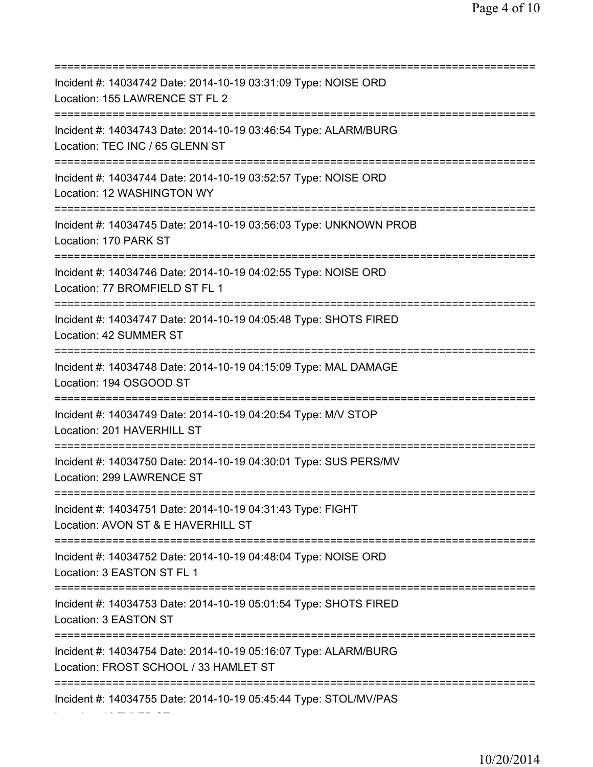=========================================================================== Incident #: 14034742 Date: 2014-10-19 03:31:09 Type: NOISE ORD Location: 155 LAWRENCE ST FL 2 =========================================================================== Incident #: 14034743 Date: 2014-10-19 03:46:54 Type: ALARM/BURG Location: TEC INC / 65 GLENN ST =========================================================================== Incident #: 14034744 Date: 2014-10-19 03:52:57 Type: NOISE ORD Location: 12 WASHINGTON WY =========================================================================== Incident #: 14034745 Date: 2014-10-19 03:56:03 Type: UNKNOWN PROB Location: 170 PARK ST =========================================================================== Incident #: 14034746 Date: 2014-10-19 04:02:55 Type: NOISE ORD Location: 77 BROMFIELD ST FL 1 =========================================================================== Incident #: 14034747 Date: 2014-10-19 04:05:48 Type: SHOTS FIRED Location: 42 SUMMER ST =========================================================================== Incident #: 14034748 Date: 2014-10-19 04:15:09 Type: MAL DAMAGE Location: 194 OSGOOD ST =========================================================================== Incident #: 14034749 Date: 2014-10-19 04:20:54 Type: M/V STOP Location: 201 HAVERHILL ST =========================================================================== Incident #: 14034750 Date: 2014-10-19 04:30:01 Type: SUS PERS/MV Location: 299 LAWRENCE ST =========================================================================== Incident #: 14034751 Date: 2014-10-19 04:31:43 Type: FIGHT Location: AVON ST & E HAVERHILL ST =========================================================================== Incident #: 14034752 Date: 2014-10-19 04:48:04 Type: NOISE ORD Location: 3 EASTON ST FL 1 =========================================================================== Incident #: 14034753 Date: 2014-10-19 05:01:54 Type: SHOTS FIRED Location: 3 EASTON ST =========================================================================== Incident #: 14034754 Date: 2014-10-19 05:16:07 Type: ALARM/BURG Location: FROST SCHOOL / 33 HAMLET ST =========================================================================== Incident #: 14034755 Date: 2014-10-19 05:45:44 Type: STOL/MV/PAS

Location: 12 TYLER ST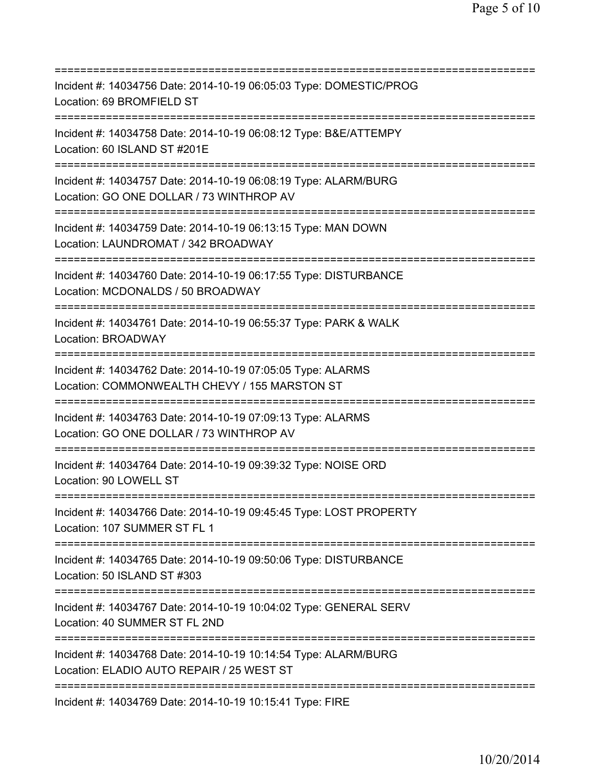| Incident #: 14034756 Date: 2014-10-19 06:05:03 Type: DOMESTIC/PROG<br>Location: 69 BROMFIELD ST                                                     |
|-----------------------------------------------------------------------------------------------------------------------------------------------------|
| Incident #: 14034758 Date: 2014-10-19 06:08:12 Type: B&E/ATTEMPY<br>Location: 60 ISLAND ST #201E                                                    |
| Incident #: 14034757 Date: 2014-10-19 06:08:19 Type: ALARM/BURG<br>Location: GO ONE DOLLAR / 73 WINTHROP AV                                         |
| Incident #: 14034759 Date: 2014-10-19 06:13:15 Type: MAN DOWN<br>Location: LAUNDROMAT / 342 BROADWAY                                                |
| Incident #: 14034760 Date: 2014-10-19 06:17:55 Type: DISTURBANCE<br>Location: MCDONALDS / 50 BROADWAY                                               |
| Incident #: 14034761 Date: 2014-10-19 06:55:37 Type: PARK & WALK<br>Location: BROADWAY                                                              |
| Incident #: 14034762 Date: 2014-10-19 07:05:05 Type: ALARMS<br>Location: COMMONWEALTH CHEVY / 155 MARSTON ST<br>============                        |
| Incident #: 14034763 Date: 2014-10-19 07:09:13 Type: ALARMS<br>Location: GO ONE DOLLAR / 73 WINTHROP AV<br>========================                 |
| Incident #: 14034764 Date: 2014-10-19 09:39:32 Type: NOISE ORD<br>Location: 90 LOWELL ST                                                            |
| Incident #: 14034766 Date: 2014-10-19 09:45:45 Type: LOST PROPERTY<br>Location: 107 SUMMER ST FL 1                                                  |
| Incident #: 14034765 Date: 2014-10-19 09:50:06 Type: DISTURBANCE<br>Location: 50 ISLAND ST #303                                                     |
| Incident #: 14034767 Date: 2014-10-19 10:04:02 Type: GENERAL SERV<br>Location: 40 SUMMER ST FL 2ND<br>======================================        |
| Incident #: 14034768 Date: 2014-10-19 10:14:54 Type: ALARM/BURG<br>Location: ELADIO AUTO REPAIR / 25 WEST ST<br>=================================== |
| Incident #: 14034769 Date: 2014-10-19 10:15:41 Type: FIRE                                                                                           |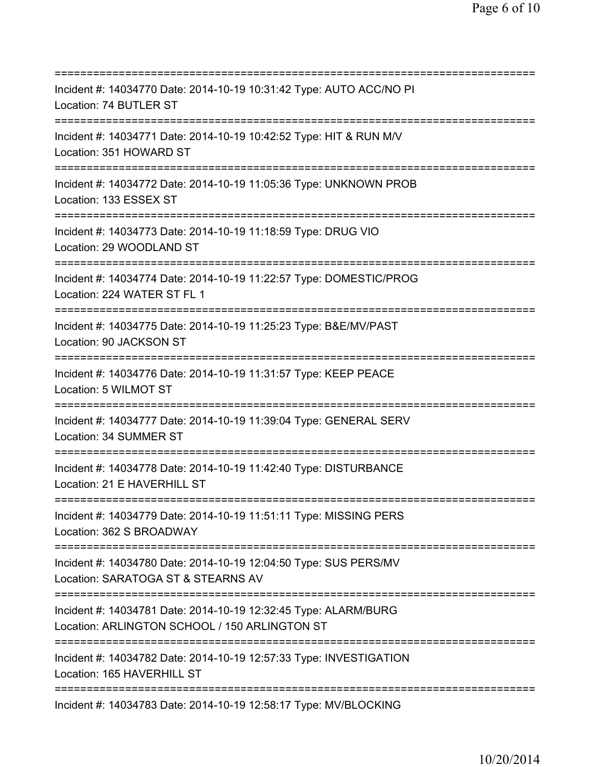=========================================================================== Incident #: 14034770 Date: 2014-10-19 10:31:42 Type: AUTO ACC/NO PI Location: 74 BUTLER ST =========================================================================== Incident #: 14034771 Date: 2014-10-19 10:42:52 Type: HIT & RUN M/V Location: 351 HOWARD ST =========================================================================== Incident #: 14034772 Date: 2014-10-19 11:05:36 Type: UNKNOWN PROB Location: 133 ESSEX ST =========================================================================== Incident #: 14034773 Date: 2014-10-19 11:18:59 Type: DRUG VIO Location: 29 WOODLAND ST =========================================================================== Incident #: 14034774 Date: 2014-10-19 11:22:57 Type: DOMESTIC/PROG Location: 224 WATER ST FL 1 =========================================================================== Incident #: 14034775 Date: 2014-10-19 11:25:23 Type: B&E/MV/PAST Location: 90 JACKSON ST =========================================================================== Incident #: 14034776 Date: 2014-10-19 11:31:57 Type: KEEP PEACE Location: 5 WILMOT ST =========================================================================== Incident #: 14034777 Date: 2014-10-19 11:39:04 Type: GENERAL SERV Location: 34 SUMMER ST =========================================================================== Incident #: 14034778 Date: 2014-10-19 11:42:40 Type: DISTURBANCE Location: 21 E HAVERHILL ST =========================================================================== Incident #: 14034779 Date: 2014-10-19 11:51:11 Type: MISSING PERS Location: 362 S BROADWAY =========================================================================== Incident #: 14034780 Date: 2014-10-19 12:04:50 Type: SUS PERS/MV Location: SARATOGA ST & STEARNS AV =========================================================================== Incident #: 14034781 Date: 2014-10-19 12:32:45 Type: ALARM/BURG Location: ARLINGTON SCHOOL / 150 ARLINGTON ST =========================================================================== Incident #: 14034782 Date: 2014-10-19 12:57:33 Type: INVESTIGATION Location: 165 HAVERHILL ST =========================================================================== Incident #: 14034783 Date: 2014-10-19 12:58:17 Type: MV/BLOCKING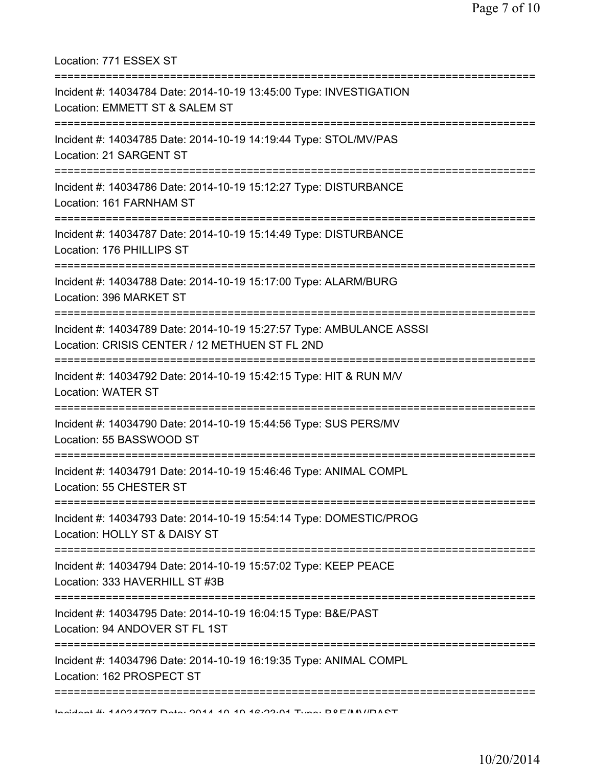Location: 771 ESSEX ST =========================================================================== Incident #: 14034784 Date: 2014-10-19 13:45:00 Type: INVESTIGATION Location: EMMETT ST & SALEM ST =========================================================================== Incident #: 14034785 Date: 2014-10-19 14:19:44 Type: STOL/MV/PAS Location: 21 SARGENT ST =========================================================================== Incident #: 14034786 Date: 2014-10-19 15:12:27 Type: DISTURBANCE Location: 161 FARNHAM ST =========================================================================== Incident #: 14034787 Date: 2014-10-19 15:14:49 Type: DISTURBANCE Location: 176 PHILLIPS ST =========================================================================== Incident #: 14034788 Date: 2014-10-19 15:17:00 Type: ALARM/BURG Location: 396 MARKET ST =========================================================================== Incident #: 14034789 Date: 2014-10-19 15:27:57 Type: AMBULANCE ASSSI Location: CRISIS CENTER / 12 METHUEN ST FL 2ND =========================================================================== Incident #: 14034792 Date: 2014-10-19 15:42:15 Type: HIT & RUN M/V Location: WATER ST =========================================================================== Incident #: 14034790 Date: 2014-10-19 15:44:56 Type: SUS PERS/MV Location: 55 BASSWOOD ST =========================================================================== Incident #: 14034791 Date: 2014-10-19 15:46:46 Type: ANIMAL COMPL Location: 55 CHESTER ST =========================================================================== Incident #: 14034793 Date: 2014-10-19 15:54:14 Type: DOMESTIC/PROG Location: HOLLY ST & DAISY ST =========================================================================== Incident #: 14034794 Date: 2014-10-19 15:57:02 Type: KEEP PEACE Location: 333 HAVERHILL ST #3B =========================================================================== Incident #: 14034795 Date: 2014-10-19 16:04:15 Type: B&E/PAST Location: 94 ANDOVER ST FL 1ST =========================================================================== Incident #: 14034796 Date: 2014-10-19 16:19:35 Type: ANIMAL COMPL Location: 162 PROSPECT ST =========================================================================== Incident #: 14034797 Date: 2014 10 19 16:23:01 Type: B&E/MV/PAST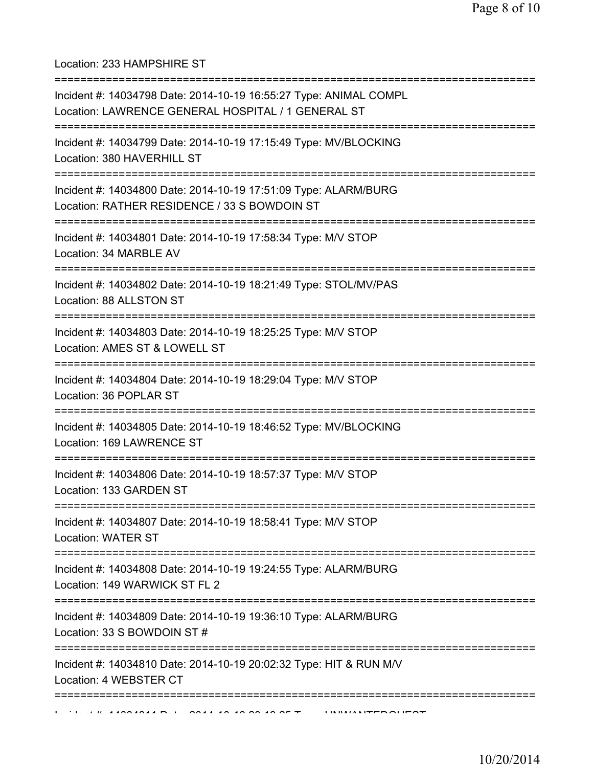Location: 233 HAMPSHIRE ST

| Incident #: 14034798 Date: 2014-10-19 16:55:27 Type: ANIMAL COMPL<br>Location: LAWRENCE GENERAL HOSPITAL / 1 GENERAL ST                   |
|-------------------------------------------------------------------------------------------------------------------------------------------|
| Incident #: 14034799 Date: 2014-10-19 17:15:49 Type: MV/BLOCKING<br>Location: 380 HAVERHILL ST                                            |
| :=====================<br>Incident #: 14034800 Date: 2014-10-19 17:51:09 Type: ALARM/BURG<br>Location: RATHER RESIDENCE / 33 S BOWDOIN ST |
| Incident #: 14034801 Date: 2014-10-19 17:58:34 Type: M/V STOP<br>Location: 34 MARBLE AV                                                   |
| Incident #: 14034802 Date: 2014-10-19 18:21:49 Type: STOL/MV/PAS<br>Location: 88 ALLSTON ST                                               |
| Incident #: 14034803 Date: 2014-10-19 18:25:25 Type: M/V STOP<br>Location: AMES ST & LOWELL ST                                            |
| ==============================<br>Incident #: 14034804 Date: 2014-10-19 18:29:04 Type: M/V STOP<br>Location: 36 POPLAR ST                 |
| ============================<br>Incident #: 14034805 Date: 2014-10-19 18:46:52 Type: MV/BLOCKING<br>Location: 169 LAWRENCE ST             |
| Incident #: 14034806 Date: 2014-10-19 18:57:37 Type: M/V STOP<br>Location: 133 GARDEN ST                                                  |
| Incident #: 14034807 Date: 2014-10-19 18:58:41 Type: M/V STOP<br><b>Location: WATER ST</b>                                                |
| Incident #: 14034808 Date: 2014-10-19 19:24:55 Type: ALARM/BURG<br>Location: 149 WARWICK ST FL 2                                          |
| .-----------------------------------<br>Incident #: 14034809 Date: 2014-10-19 19:36:10 Type: ALARM/BURG<br>Location: 33 S BOWDOIN ST #    |
| Incident #: 14034810 Date: 2014-10-19 20:02:32 Type: HIT & RUN M/V<br>Location: 4 WEBSTER CT                                              |
|                                                                                                                                           |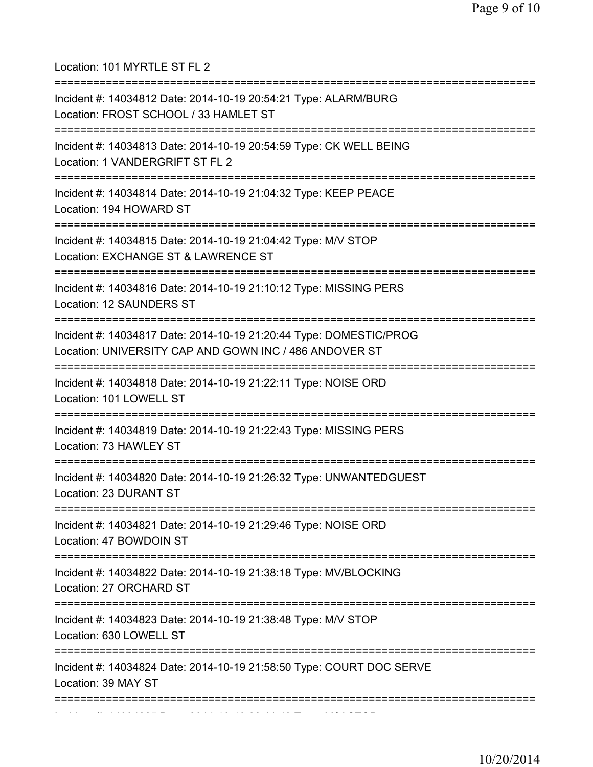Location: 101 MYRTLE ST FL 2 =========================================================================== Incident #: 14034812 Date: 2014-10-19 20:54:21 Type: ALARM/BURG Location: FROST SCHOOL / 33 HAMLET ST =========================================================================== Incident #: 14034813 Date: 2014-10-19 20:54:59 Type: CK WELL BEING Location: 1 VANDERGRIFT ST FL 2 =========================================================================== Incident #: 14034814 Date: 2014-10-19 21:04:32 Type: KEEP PEACE Location: 194 HOWARD ST =========================================================================== Incident #: 14034815 Date: 2014-10-19 21:04:42 Type: M/V STOP Location: EXCHANGE ST & LAWRENCE ST =========================================================================== Incident #: 14034816 Date: 2014-10-19 21:10:12 Type: MISSING PERS Location: 12 SAUNDERS ST =========================================================================== Incident #: 14034817 Date: 2014-10-19 21:20:44 Type: DOMESTIC/PROG Location: UNIVERSITY CAP AND GOWN INC / 486 ANDOVER ST =========================================================================== Incident #: 14034818 Date: 2014-10-19 21:22:11 Type: NOISE ORD Location: 101 LOWELL ST =========================================================================== Incident #: 14034819 Date: 2014-10-19 21:22:43 Type: MISSING PERS Location: 73 HAWLEY ST =========================================================================== Incident #: 14034820 Date: 2014-10-19 21:26:32 Type: UNWANTEDGUEST Location: 23 DURANT ST =========================================================================== Incident #: 14034821 Date: 2014-10-19 21:29:46 Type: NOISE ORD Location: 47 BOWDOIN ST =========================================================================== Incident #: 14034822 Date: 2014-10-19 21:38:18 Type: MV/BLOCKING Location: 27 ORCHARD ST =========================================================================== Incident #: 14034823 Date: 2014-10-19 21:38:48 Type: M/V STOP Location: 630 LOWELL ST =========================================================================== Incident #: 14034824 Date: 2014-10-19 21:58:50 Type: COURT DOC SERVE Location: 39 MAY ST =========================================================================== Incident #: 14034825 Date: 2014 10 19 22:11:43 Type: M/V STOP